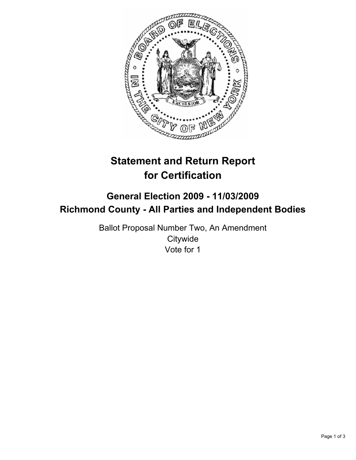

# **Statement and Return Report for Certification**

## **General Election 2009 - 11/03/2009 Richmond County - All Parties and Independent Bodies**

Ballot Proposal Number Two, An Amendment **Citywide** Vote for 1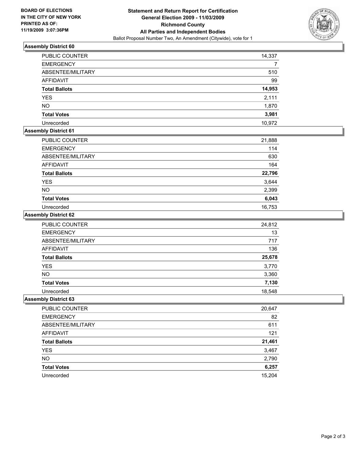

### **Assembly District 60**

| <b>PUBLIC COUNTER</b> | 14,337 |
|-----------------------|--------|
| <b>EMERGENCY</b>      |        |
| ABSENTEE/MILITARY     | 510    |
| <b>AFFIDAVIT</b>      | 99     |
| <b>Total Ballots</b>  | 14,953 |
| <b>YES</b>            | 2,111  |
| <b>NO</b>             | 1,870  |
| <b>Total Votes</b>    | 3,981  |
| Unrecorded            | 10.972 |

### **Assembly District 61**

| <b>PUBLIC COUNTER</b> | 21,888 |
|-----------------------|--------|
| <b>EMERGENCY</b>      | 114    |
| ABSENTEE/MILITARY     | 630    |
| AFFIDAVIT             | 164    |
| <b>Total Ballots</b>  | 22,796 |
| <b>YES</b>            | 3,644  |
| <b>NO</b>             | 2,399  |
| <b>Total Votes</b>    | 6,043  |
| Unrecorded            | 16,753 |

#### **Assembly District 62**

| PUBLIC COUNTER       | 24,812 |
|----------------------|--------|
| <b>EMERGENCY</b>     | 13     |
| ABSENTEE/MILITARY    | 717    |
| <b>AFFIDAVIT</b>     | 136    |
| <b>Total Ballots</b> | 25,678 |
| <b>YES</b>           | 3,770  |
| <b>NO</b>            | 3,360  |
| <b>Total Votes</b>   | 7,130  |
| Unrecorded           | 18,548 |

### **Assembly District 63**

| PUBLIC COUNTER       | 20,647 |
|----------------------|--------|
| <b>EMERGENCY</b>     | 82     |
| ABSENTEE/MILITARY    | 611    |
| <b>AFFIDAVIT</b>     | 121    |
| <b>Total Ballots</b> | 21,461 |
| <b>YES</b>           | 3,467  |
| <b>NO</b>            | 2,790  |
| <b>Total Votes</b>   | 6,257  |
| Unrecorded           | 15,204 |